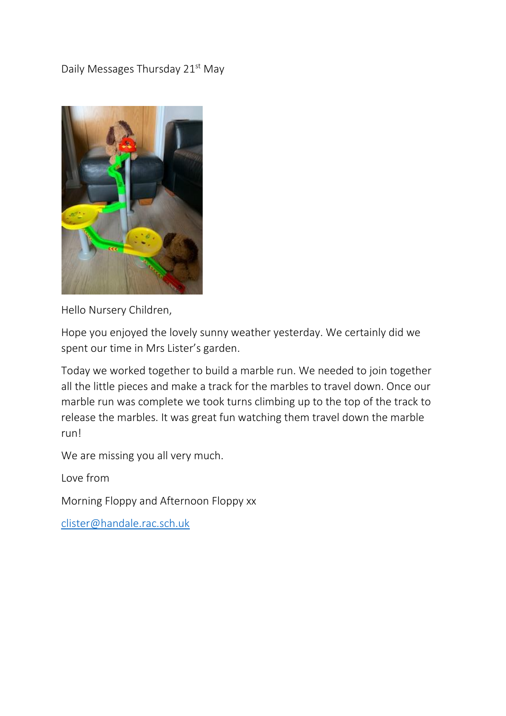## Daily Messages Thursday 21<sup>st</sup> May



Hello Nursery Children,

Hope you enjoyed the lovely sunny weather yesterday. We certainly did we spent our time in Mrs Lister's garden.

Today we worked together to build a marble run. We needed to join together all the little pieces and make a track for the marbles to travel down. Once our marble run was complete we took turns climbing up to the top of the track to release the marbles. It was great fun watching them travel down the marble run!

We are missing you all very much.

Love from

Morning Floppy and Afternoon Floppy xx

[clister@handale.rac.sch.uk](mailto:clister@handale.rac.sch.uk)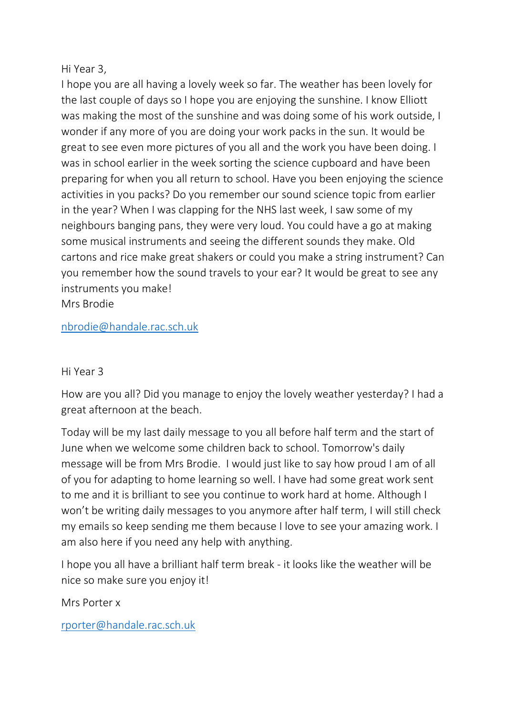## Hi Year 3,

I hope you are all having a lovely week so far. The weather has been lovely for the last couple of days so I hope you are enjoying the sunshine. I know Elliott was making the most of the sunshine and was doing some of his work outside, I wonder if any more of you are doing your work packs in the sun. It would be great to see even more pictures of you all and the work you have been doing. I was in school earlier in the week sorting the science cupboard and have been preparing for when you all return to school. Have you been enjoying the science activities in you packs? Do you remember our sound science topic from earlier in the year? When I was clapping for the NHS last week, I saw some of my neighbours banging pans, they were very loud. You could have a go at making some musical instruments and seeing the different sounds they make. Old cartons and rice make great shakers or could you make a string instrument? Can you remember how the sound travels to your ear? It would be great to see any instruments you make!

Mrs Brodie

[nbrodie@handale.rac.sch.uk](mailto:nbrodie@handale.rac.sch.uk)

## Hi Year 3

How are you all? Did you manage to enjoy the lovely weather yesterday? I had a great afternoon at the beach.

Today will be my last daily message to you all before half term and the start of June when we welcome some children back to school. Tomorrow's daily message will be from Mrs Brodie. I would just like to say how proud I am of all of you for adapting to home learning so well. I have had some great work sent to me and it is brilliant to see you continue to work hard at home. Although I won't be writing daily messages to you anymore after half term, I will still check my emails so keep sending me them because I love to see your amazing work. I am also here if you need any help with anything.

I hope you all have a brilliant half term break - it looks like the weather will be nice so make sure you enjoy it!

Mrs Porter x

[rporter@handale.rac.sch.uk](mailto:rporter@handale.rac.sch.uk)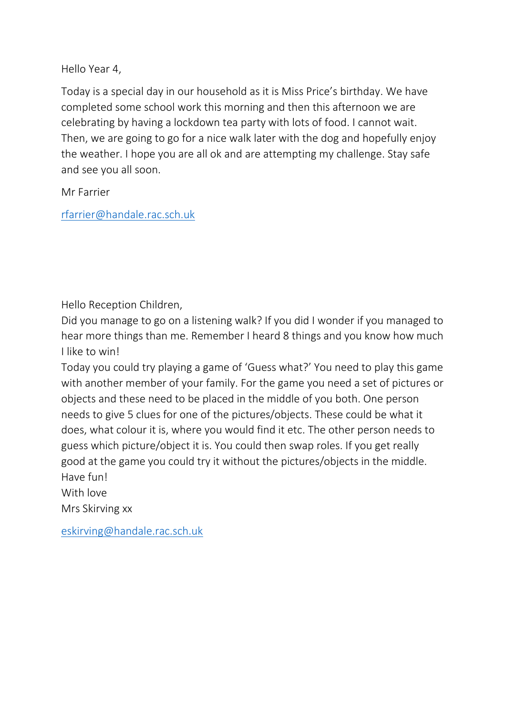Hello Year 4,

Today is a special day in our household as it is Miss Price's birthday. We have completed some school work this morning and then this afternoon we are celebrating by having a lockdown tea party with lots of food. I cannot wait. Then, we are going to go for a nice walk later with the dog and hopefully enjoy the weather. I hope you are all ok and are attempting my challenge. Stay safe and see you all soon.

Mr Farrier

[rfarrier@handale.rac.sch.uk](mailto:rfarrier@handale.rac.sch.uk)

Hello Reception Children,

Did you manage to go on a listening walk? If you did I wonder if you managed to hear more things than me. Remember I heard 8 things and you know how much I like to win!

Today you could try playing a game of 'Guess what?' You need to play this game with another member of your family. For the game you need a set of pictures or objects and these need to be placed in the middle of you both. One person needs to give 5 clues for one of the pictures/objects. These could be what it does, what colour it is, where you would find it etc. The other person needs to guess which picture/object it is. You could then swap roles. If you get really good at the game you could try it without the pictures/objects in the middle. Have fun!

With love

Mrs Skirving xx

[eskirving@handale.rac.sch.uk](mailto:eskirving@handale.rac.sch.uk)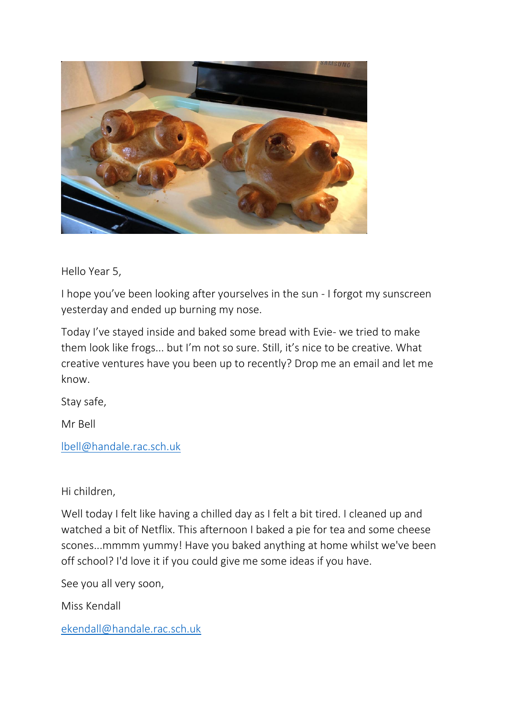

Hello Year 5,

I hope you've been looking after yourselves in the sun - I forgot my sunscreen yesterday and ended up burning my nose.

Today I've stayed inside and baked some bread with Evie- we tried to make them look like frogs... but I'm not so sure. Still, it's nice to be creative. What creative ventures have you been up to recently? Drop me an email and let me know.

Stay safe,

Mr Bell

[lbell@handale.rac.sch.uk](mailto:lbell@handale.rac.sch.uk)

Hi children,

Well today I felt like having a chilled day as I felt a bit tired. I cleaned up and watched a bit of Netflix. This afternoon I baked a pie for tea and some cheese scones...mmmm yummy! Have you baked anything at home whilst we've been off school? I'd love it if you could give me some ideas if you have.

See you all very soon,

Miss Kendall

[ekendall@handale.rac.sch.uk](mailto:ekendall@handale.rac.sch.uk)